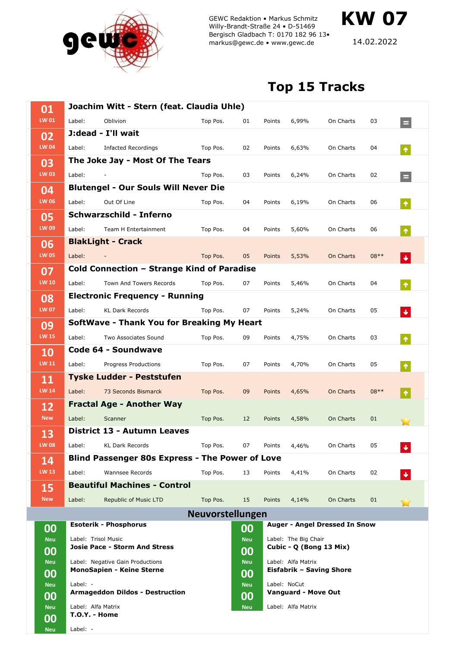

GEWC Redaktion • Markus Schmitz Willy-Brandt-Straße 24 • D-51469 Bergisch Gladbach T: 0170 182 96 13• markus@gewc.de • www.gewc.de

14.02.2022

**KW 07**

## **Top 15 Tracks**

| 01               | Joachim Witt - Stern (feat. Claudia Uhle)              |                                       |          |                  |                                                 |                    |           |        |                      |  |  |
|------------------|--------------------------------------------------------|---------------------------------------|----------|------------------|-------------------------------------------------|--------------------|-----------|--------|----------------------|--|--|
| LW 01            | Label:                                                 | Oblivion                              | Top Pos. | 01               | Points                                          | 6,99%              | On Charts | 03     | $\equiv$             |  |  |
| 02               |                                                        | J:dead - I'll wait                    |          |                  |                                                 |                    |           |        |                      |  |  |
| <b>LW 04</b>     | Label:                                                 | <b>Infacted Recordings</b>            | Top Pos. | 02               | Points                                          | 6,63%              | On Charts | 04     | $\pmb{\uparrow}$     |  |  |
| 03               | The Joke Jay - Most Of The Tears                       |                                       |          |                  |                                                 |                    |           |        |                      |  |  |
| LW 03            | Label:                                                 |                                       | Top Pos. | 03               | Points                                          | 6,24%              | On Charts | 02     | Е                    |  |  |
| 04               | <b>Blutengel - Our Souls Will Never Die</b>            |                                       |          |                  |                                                 |                    |           |        |                      |  |  |
| <b>LW 06</b>     | Label:                                                 | Out Of Line                           | Top Pos. | 04               | Points                                          | 6,19%              | On Charts | 06     | $\hat{\mathbf{T}}$   |  |  |
| 05               | <b>Schwarzschild - Inferno</b>                         |                                       |          |                  |                                                 |                    |           |        |                      |  |  |
| <b>LW 09</b>     | Label:                                                 | Team H Entertainment                  | Top Pos. | 04               | Points                                          | 5,60%              | On Charts | 06     | $\pmb{\uparrow}$     |  |  |
| 06               |                                                        | <b>BlakLight - Crack</b>              |          |                  |                                                 |                    |           |        |                      |  |  |
| <b>LW 05</b>     | Label:                                                 |                                       | Top Pos. | 05               | Points                                          | 5,53%              | On Charts | $08**$ | $\ddot{\phantom{1}}$ |  |  |
| 07               | Cold Connection - Strange Kind of Paradise             |                                       |          |                  |                                                 |                    |           |        |                      |  |  |
| <b>LW 10</b>     | Label:                                                 | Town And Towers Records               | Top Pos. | 07               | Points                                          | 5,46%              | On Charts | 04     | $\hat{\mathbf{T}}$   |  |  |
| 08               |                                                        | <b>Electronic Frequency - Running</b> |          |                  |                                                 |                    |           |        |                      |  |  |
| <b>LW 07</b>     | Label:                                                 | <b>KL Dark Records</b>                | Top Pos. | 07               | Points                                          | 5,24%              | On Charts | 05     | $\ddot{\phantom{1}}$ |  |  |
| 09               | <b>SoftWave - Thank You for Breaking My Heart</b>      |                                       |          |                  |                                                 |                    |           |        |                      |  |  |
| <b>LW 15</b>     | Label:                                                 | Two Associates Sound                  | Top Pos. | 09               | Points                                          | 4,75%              | On Charts | 03     | $\blacklozenge$      |  |  |
| 10               |                                                        | Code 64 - Soundwave                   |          |                  |                                                 |                    |           |        |                      |  |  |
| <b>LW 11</b>     | Label:                                                 | Progress Productions                  | Top Pos. | 07               | Points                                          | 4,70%              | On Charts | 05     | $\pmb{\Uparrow}$     |  |  |
| 11               |                                                        | <b>Tyske Ludder - Peststufen</b>      |          |                  |                                                 |                    |           |        |                      |  |  |
| <b>LW 14</b>     | Label:                                                 | 73 Seconds Bismarck                   | Top Pos. | 09               | Points                                          | 4,65%              | On Charts | $08**$ | $\blacklozenge$      |  |  |
| 12               | <b>Fractal Age - Another Way</b>                       |                                       |          |                  |                                                 |                    |           |        |                      |  |  |
| <b>New</b>       | Label:                                                 | Scanner                               | Top Pos. | 12               | Points                                          | 4,58%              | On Charts | 01     |                      |  |  |
| 13               |                                                        | District 13 - Autumn Leaves           |          |                  |                                                 |                    |           |        |                      |  |  |
| <b>LW 08</b>     | Label:                                                 | KL Dark Records                       | Top Pos. | 07               | Points                                          | 4,46%              | On Charts | 05     | ₩                    |  |  |
| 14               | <b>Blind Passenger 80s Express - The Power of Love</b> |                                       |          |                  |                                                 |                    |           |        |                      |  |  |
| <b>LW 13</b>     | Label:                                                 | Wannsee Records                       | Top Pos. | 13               | Points                                          | 4,41%              | On Charts | 02     | $\ddot{\phantom{0}}$ |  |  |
| 15               |                                                        | <b>Beautiful Machines - Control</b>   |          |                  |                                                 |                    |           |        |                      |  |  |
| <b>New</b>       | Label:                                                 | Republic of Music LTD                 | Top Pos. | 15               | Points                                          | 4,14%              | On Charts | 01     |                      |  |  |
| Neuvorstellungen |                                                        |                                       |          |                  |                                                 |                    |           |        |                      |  |  |
| 00               | <b>Esoterik - Phosphorus</b>                           |                                       |          | 00               | Auger - Angel Dressed In Snow                   |                    |           |        |                      |  |  |
| <b>Neu</b><br>00 | Label: Trisol Music<br>Josie Pace - Storm And Stress   |                                       |          | <b>Neu</b><br>00 | Label: The Big Chair<br>Cubic - Q (Bong 13 Mix) |                    |           |        |                      |  |  |
| <b>Neu</b>       | Label: Negative Gain Productions                       |                                       |          | <b>Neu</b>       | Label: Alfa Matrix                              |                    |           |        |                      |  |  |
| 00               | <b>MonoSapien - Keine Sterne</b>                       |                                       |          | 00               | Eisfabrik - Saving Shore                        |                    |           |        |                      |  |  |
| <b>Neu</b>       | Label: -                                               |                                       |          | <b>Neu</b>       | Label: NoCut                                    |                    |           |        |                      |  |  |
| 00               | <b>Armageddon Dildos - Destruction</b>                 |                                       |          | 00               | <b>Vanguard - Move Out</b>                      |                    |           |        |                      |  |  |
| <b>Neu</b><br>00 | Label: Alfa Matrix<br><b>T.O.Y. - Home</b>             |                                       |          | <b>Neu</b>       |                                                 | Label: Alfa Matrix |           |        |                      |  |  |
| <b>Neu</b>       | Label: -                                               |                                       |          |                  |                                                 |                    |           |        |                      |  |  |